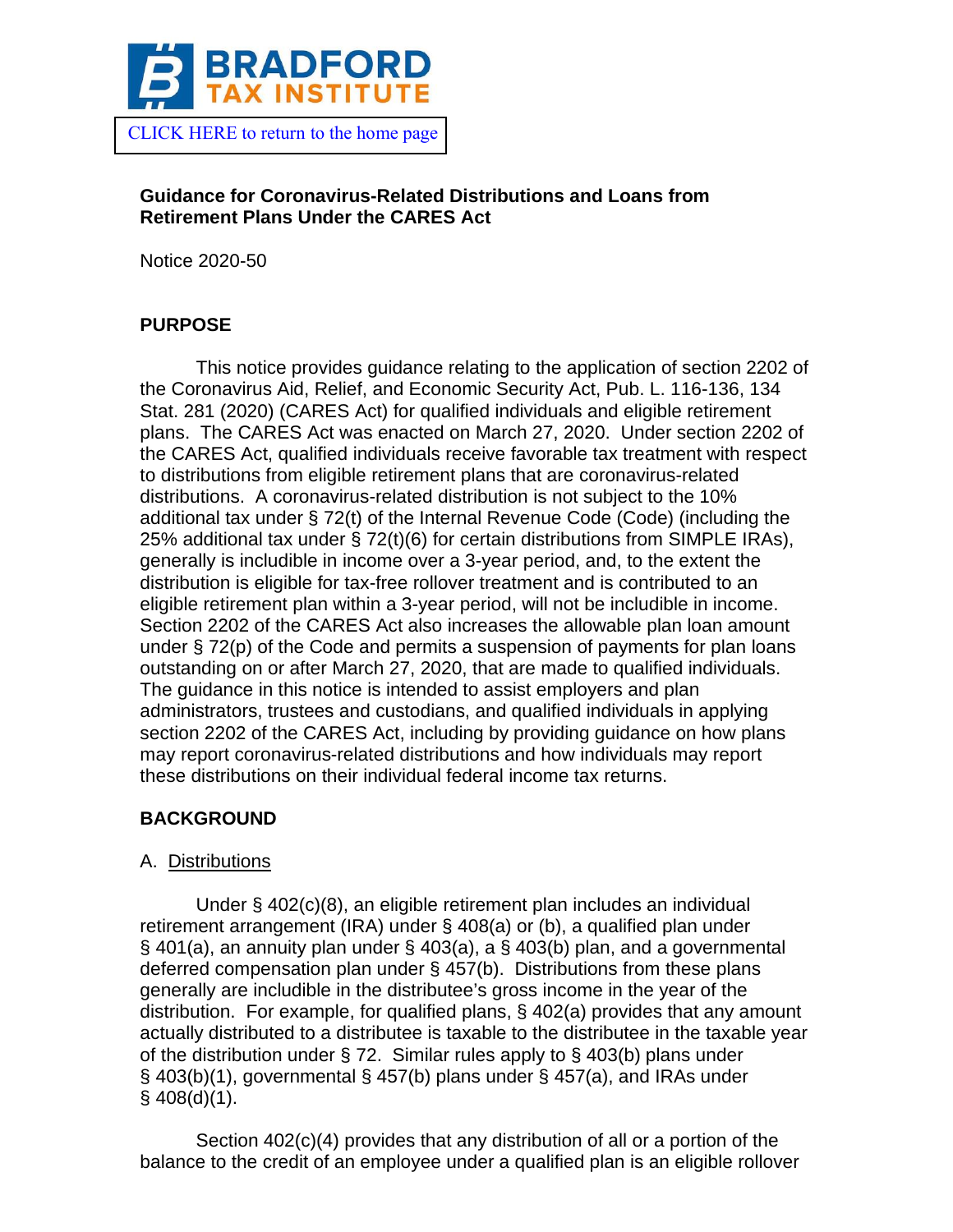

[CLICK HERE to return to the home page](https://www.bradfordtaxinstitute.com) 

# **Guidance for Coronavirus-Related Distributions and Loans from Retirement Plans Under the CARES Act**

Notice 2020-50

# **PURPOSE**

This notice provides guidance relating to the application of section 2202 of the Coronavirus Aid, Relief, and Economic Security Act, Pub. L. 116-136, 134 Stat. 281 (2020) (CARES Act) for qualified individuals and eligible retirement plans. The CARES Act was enacted on March 27, 2020. Under section 2202 of the CARES Act, qualified individuals receive favorable tax treatment with respect to distributions from eligible retirement plans that are coronavirus-related distributions. A coronavirus-related distribution is not subject to the 10% additional tax under § 72(t) of the Internal Revenue Code (Code) (including the 25% additional tax under § 72(t)(6) for certain distributions from SIMPLE IRAs), generally is includible in income over a 3-year period, and, to the extent the distribution is eligible for tax-free rollover treatment and is contributed to an eligible retirement plan within a 3-year period, will not be includible in income. Section 2202 of the CARES Act also increases the allowable plan loan amount under § 72(p) of the Code and permits a suspension of payments for plan loans outstanding on or after March 27, 2020, that are made to qualified individuals. The guidance in this notice is intended to assist employers and plan administrators, trustees and custodians, and qualified individuals in applying section 2202 of the CARES Act, including by providing guidance on how plans may report coronavirus-related distributions and how individuals may report these distributions on their individual federal income tax returns.

# **BACKGROUND**

# A. Distributions

Under § 402(c)(8), an eligible retirement plan includes an individual retirement arrangement (IRA) under § 408(a) or (b), a qualified plan under § 401(a), an annuity plan under § 403(a), a § 403(b) plan, and a governmental deferred compensation plan under § 457(b). Distributions from these plans generally are includible in the distributee's gross income in the year of the distribution. For example, for qualified plans, § 402(a) provides that any amount actually distributed to a distributee is taxable to the distributee in the taxable year of the distribution under § 72. Similar rules apply to § 403(b) plans under § 403(b)(1), governmental § 457(b) plans under § 457(a), and IRAs under  $§$  408(d)(1).

Section 402(c)(4) provides that any distribution of all or a portion of the balance to the credit of an employee under a qualified plan is an eligible rollover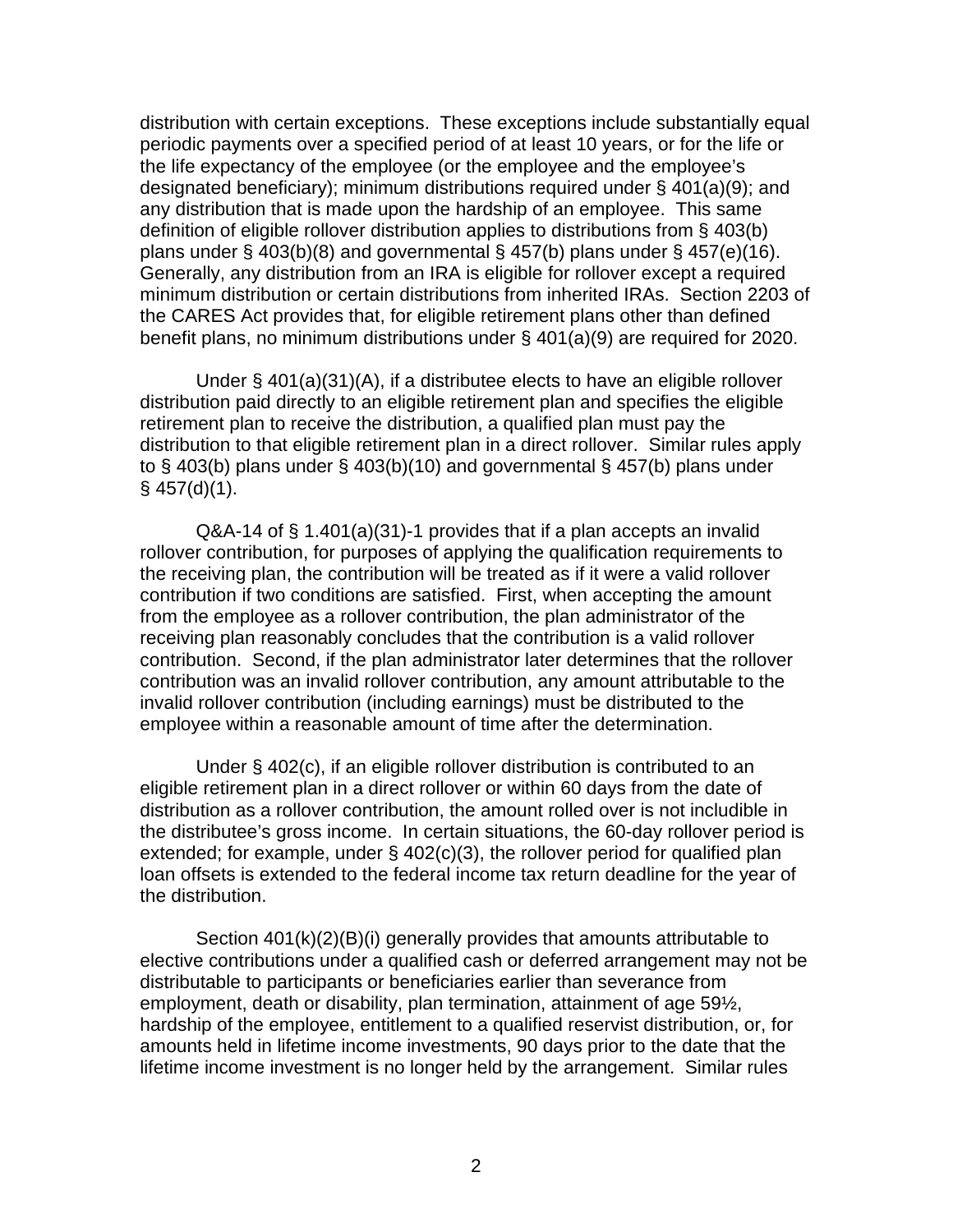distribution with certain exceptions. These exceptions include substantially equal periodic payments over a specified period of at least 10 years, or for the life or the life expectancy of the employee (or the employee and the employee's designated beneficiary); minimum distributions required under § 401(a)(9); and any distribution that is made upon the hardship of an employee. This same definition of eligible rollover distribution applies to distributions from § 403(b) plans under § 403(b)(8) and governmental § 457(b) plans under § 457(e)(16). Generally, any distribution from an IRA is eligible for rollover except a required minimum distribution or certain distributions from inherited IRAs. Section 2203 of the CARES Act provides that, for eligible retirement plans other than defined benefit plans, no minimum distributions under § 401(a)(9) are required for 2020.

Under § 401(a)(31)(A), if a distributee elects to have an eligible rollover distribution paid directly to an eligible retirement plan and specifies the eligible retirement plan to receive the distribution, a qualified plan must pay the distribution to that eligible retirement plan in a direct rollover. Similar rules apply to § 403(b) plans under § 403(b)(10) and governmental § 457(b) plans under  $§$  457(d)(1).

Q&A-14 of § 1.401(a)(31)-1 provides that if a plan accepts an invalid rollover contribution, for purposes of applying the qualification requirements to the receiving plan, the contribution will be treated as if it were a valid rollover contribution if two conditions are satisfied. First, when accepting the amount from the employee as a rollover contribution, the plan administrator of the receiving plan reasonably concludes that the contribution is a valid rollover contribution. Second, if the plan administrator later determines that the rollover contribution was an invalid rollover contribution, any amount attributable to the invalid rollover contribution (including earnings) must be distributed to the employee within a reasonable amount of time after the determination.

Under § 402(c), if an eligible rollover distribution is contributed to an eligible retirement plan in a direct rollover or within 60 days from the date of distribution as a rollover contribution, the amount rolled over is not includible in the distributee's gross income. In certain situations, the 60-day rollover period is extended; for example, under § 402(c)(3), the rollover period for qualified plan loan offsets is extended to the federal income tax return deadline for the year of the distribution.

Section 401(k)(2)(B)(i) generally provides that amounts attributable to elective contributions under a qualified cash or deferred arrangement may not be distributable to participants or beneficiaries earlier than severance from employment, death or disability, plan termination, attainment of age 59½, hardship of the employee, entitlement to a qualified reservist distribution, or, for amounts held in lifetime income investments, 90 days prior to the date that the lifetime income investment is no longer held by the arrangement. Similar rules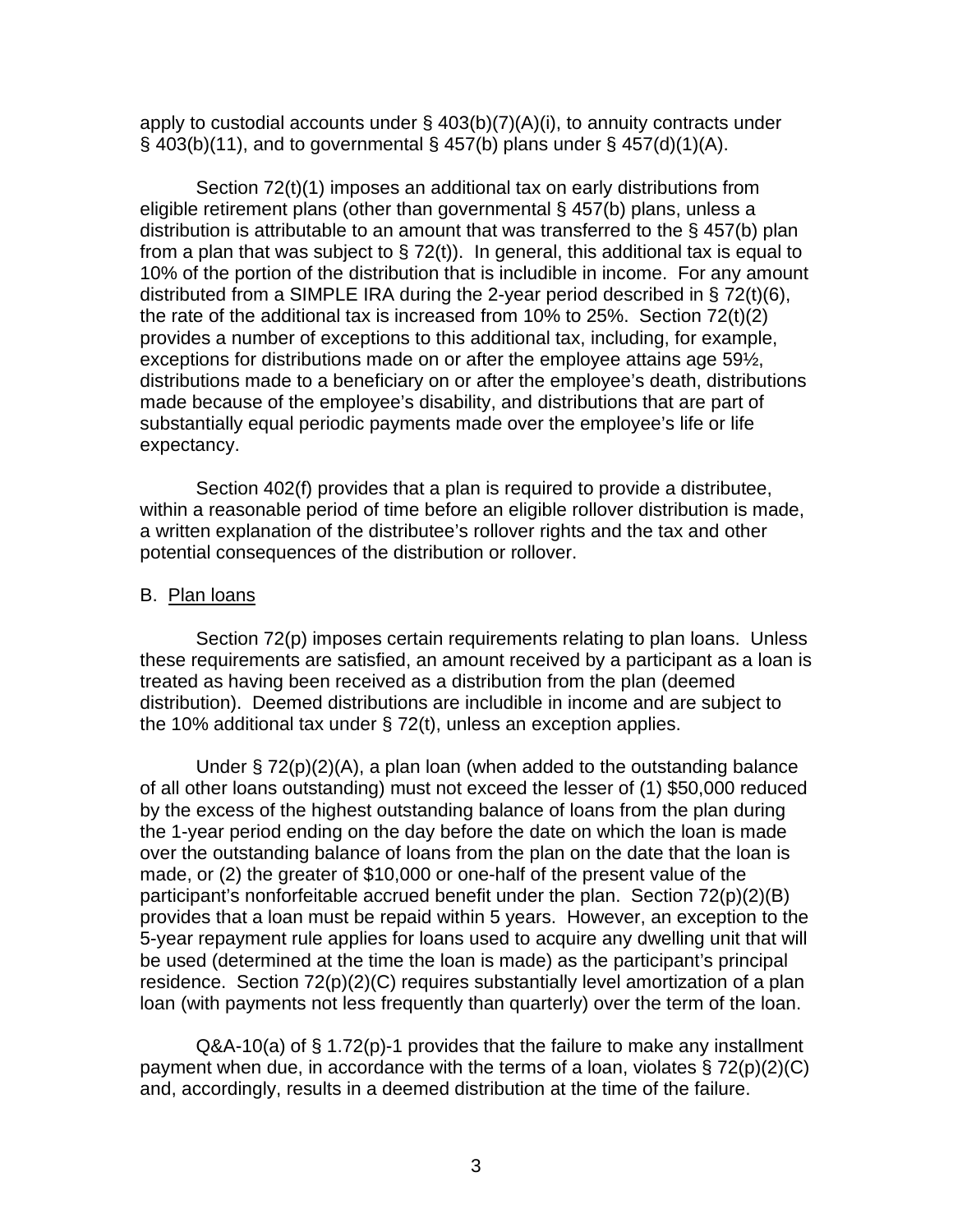apply to custodial accounts under  $\S$  403(b)(7)(A)(i), to annuity contracts under  $\S$  403(b)(11), and to governmental  $\S$  457(b) plans under  $\S$  457(d)(1)(A).

Section 72(t)(1) imposes an additional tax on early distributions from eligible retirement plans (other than governmental § 457(b) plans, unless a distribution is attributable to an amount that was transferred to the § 457(b) plan from a plan that was subject to  $\S$  72(t)). In general, this additional tax is equal to 10% of the portion of the distribution that is includible in income. For any amount distributed from a SIMPLE IRA during the 2-year period described in § 72(t)(6), the rate of the additional tax is increased from 10% to 25%. Section 72(t)(2) provides a number of exceptions to this additional tax, including, for example, exceptions for distributions made on or after the employee attains age 59½, distributions made to a beneficiary on or after the employee's death, distributions made because of the employee's disability, and distributions that are part of substantially equal periodic payments made over the employee's life or life expectancy.

Section 402(f) provides that a plan is required to provide a distributee, within a reasonable period of time before an eligible rollover distribution is made, a written explanation of the distributee's rollover rights and the tax and other potential consequences of the distribution or rollover.

#### B. Plan loans

Section 72(p) imposes certain requirements relating to plan loans. Unless these requirements are satisfied, an amount received by a participant as a loan is treated as having been received as a distribution from the plan (deemed distribution). Deemed distributions are includible in income and are subject to the 10% additional tax under § 72(t), unless an exception applies.

Under  $\S 72(p)(2)(A)$ , a plan loan (when added to the outstanding balance of all other loans outstanding) must not exceed the lesser of (1) \$50,000 reduced by the excess of the highest outstanding balance of loans from the plan during the 1-year period ending on the day before the date on which the loan is made over the outstanding balance of loans from the plan on the date that the loan is made, or (2) the greater of \$10,000 or one-half of the present value of the participant's nonforfeitable accrued benefit under the plan. Section 72(p)(2)(B) provides that a loan must be repaid within 5 years. However, an exception to the 5-year repayment rule applies for loans used to acquire any dwelling unit that will be used (determined at the time the loan is made) as the participant's principal residence. Section 72(p)(2)(C) requires substantially level amortization of a plan loan (with payments not less frequently than quarterly) over the term of the loan.

Q&A-10(a) of § 1.72(p)-1 provides that the failure to make any installment payment when due, in accordance with the terms of a loan, violates § 72(p)(2)(C) and, accordingly, results in a deemed distribution at the time of the failure.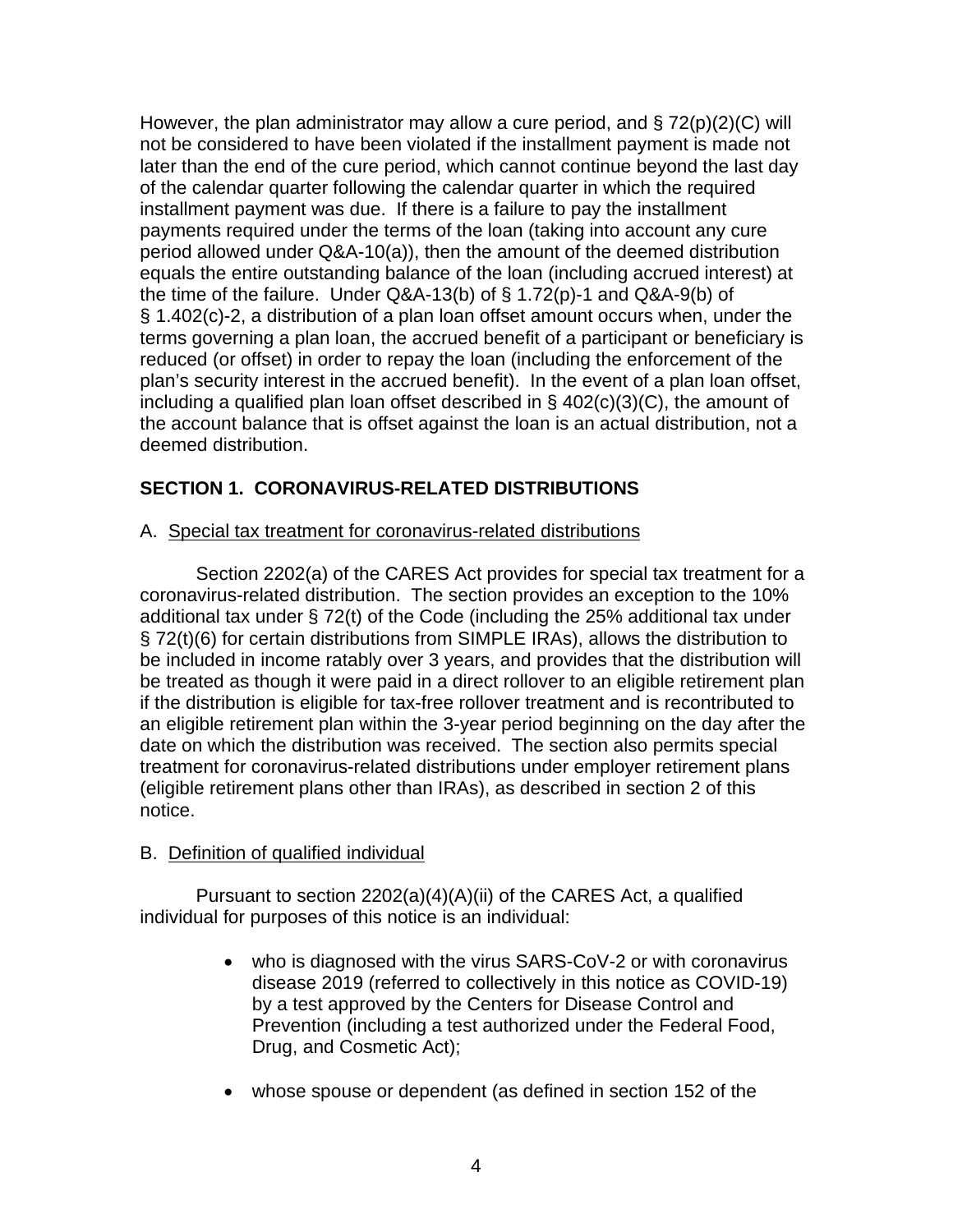However, the plan administrator may allow a cure period, and  $\S 72(p)(2)(C)$  will not be considered to have been violated if the installment payment is made not later than the end of the cure period, which cannot continue beyond the last day of the calendar quarter following the calendar quarter in which the required installment payment was due. If there is a failure to pay the installment payments required under the terms of the loan (taking into account any cure period allowed under Q&A-10(a)), then the amount of the deemed distribution equals the entire outstanding balance of the loan (including accrued interest) at the time of the failure. Under Q&A-13(b) of § 1.72(p)-1 and Q&A-9(b) of § 1.402(c)-2, a distribution of a plan loan offset amount occurs when, under the terms governing a plan loan, the accrued benefit of a participant or beneficiary is reduced (or offset) in order to repay the loan (including the enforcement of the plan's security interest in the accrued benefit). In the event of a plan loan offset, including a qualified plan loan offset described in § 402(c)(3)(C), the amount of the account balance that is offset against the loan is an actual distribution, not a deemed distribution.

# **SECTION 1. CORONAVIRUS-RELATED DISTRIBUTIONS**

### A. Special tax treatment for coronavirus-related distributions

Section 2202(a) of the CARES Act provides for special tax treatment for a coronavirus-related distribution. The section provides an exception to the 10% additional tax under § 72(t) of the Code (including the 25% additional tax under § 72(t)(6) for certain distributions from SIMPLE IRAs), allows the distribution to be included in income ratably over 3 years, and provides that the distribution will be treated as though it were paid in a direct rollover to an eligible retirement plan if the distribution is eligible for tax-free rollover treatment and is recontributed to an eligible retirement plan within the 3-year period beginning on the day after the date on which the distribution was received. The section also permits special treatment for coronavirus-related distributions under employer retirement plans (eligible retirement plans other than IRAs), as described in section 2 of this notice.

# B. Definition of qualified individual

Pursuant to section 2202(a)(4)(A)(ii) of the CARES Act, a qualified individual for purposes of this notice is an individual:

- who is diagnosed with the virus SARS-CoV-2 or with coronavirus disease 2019 (referred to collectively in this notice as COVID-19) by a test approved by the Centers for Disease Control and Prevention (including a test authorized under the Federal Food, Drug, and Cosmetic Act);
- whose spouse or dependent (as defined in section 152 of the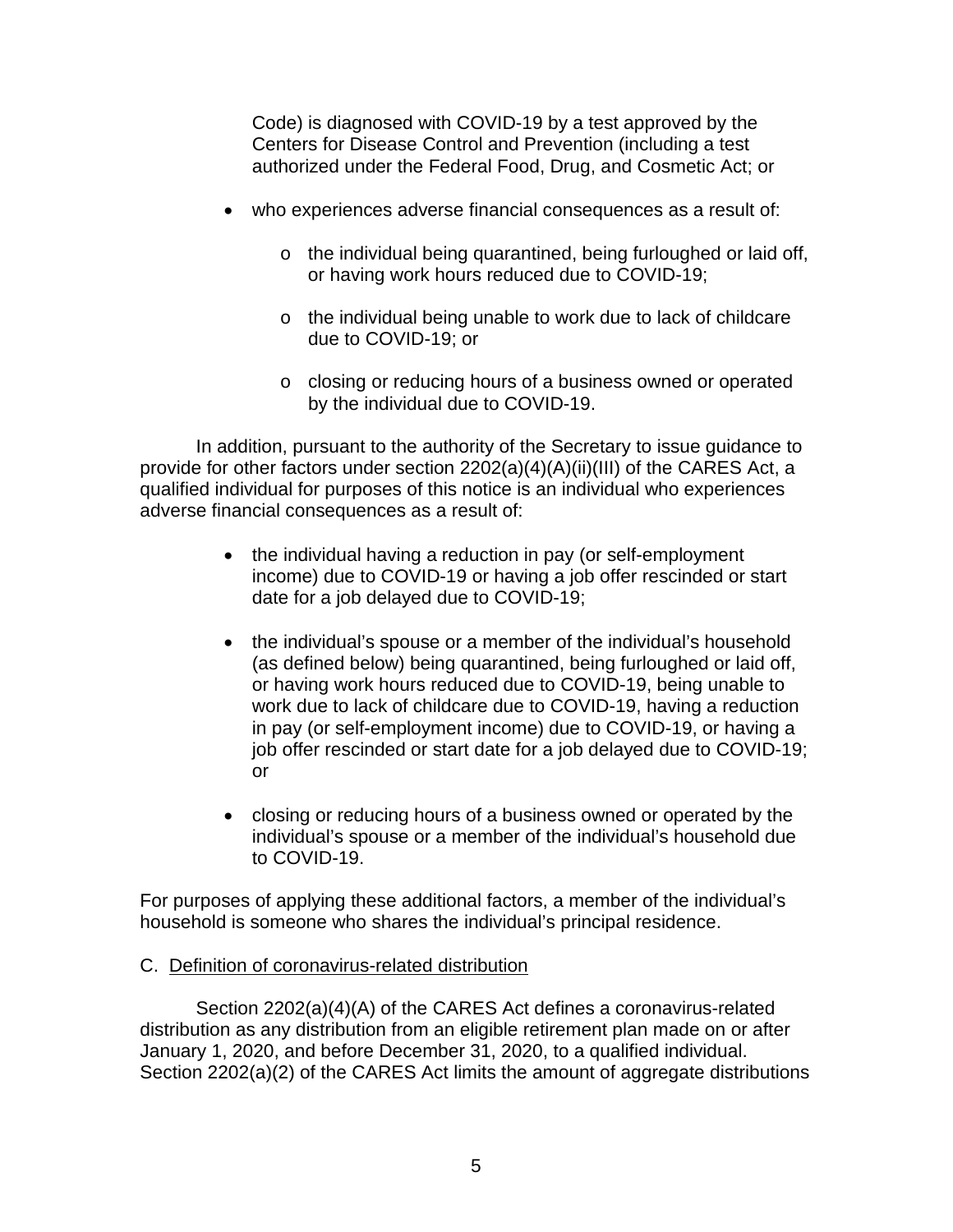Code) is diagnosed with COVID-19 by a test approved by the Centers for Disease Control and Prevention (including a test authorized under the Federal Food, Drug, and Cosmetic Act; or

- who experiences adverse financial consequences as a result of:
	- o the individual being quarantined, being furloughed or laid off, or having work hours reduced due to COVID-19;
	- o the individual being unable to work due to lack of childcare due to COVID-19; or
	- o closing or reducing hours of a business owned or operated by the individual due to COVID-19.

In addition, pursuant to the authority of the Secretary to issue guidance to provide for other factors under section 2202(a)(4)(A)(ii)(III) of the CARES Act, a qualified individual for purposes of this notice is an individual who experiences adverse financial consequences as a result of:

- the individual having a reduction in pay (or self-employment income) due to COVID-19 or having a job offer rescinded or start date for a job delayed due to COVID-19;
- the individual's spouse or a member of the individual's household (as defined below) being quarantined, being furloughed or laid off, or having work hours reduced due to COVID-19, being unable to work due to lack of childcare due to COVID-19, having a reduction in pay (or self-employment income) due to COVID-19, or having a job offer rescinded or start date for a job delayed due to COVID-19; or
- closing or reducing hours of a business owned or operated by the individual's spouse or a member of the individual's household due to COVID-19.

For purposes of applying these additional factors, a member of the individual's household is someone who shares the individual's principal residence.

# C. Definition of coronavirus-related distribution

Section 2202(a)(4)(A) of the CARES Act defines a coronavirus-related distribution as any distribution from an eligible retirement plan made on or after January 1, 2020, and before December 31, 2020, to a qualified individual. Section 2202(a)(2) of the CARES Act limits the amount of aggregate distributions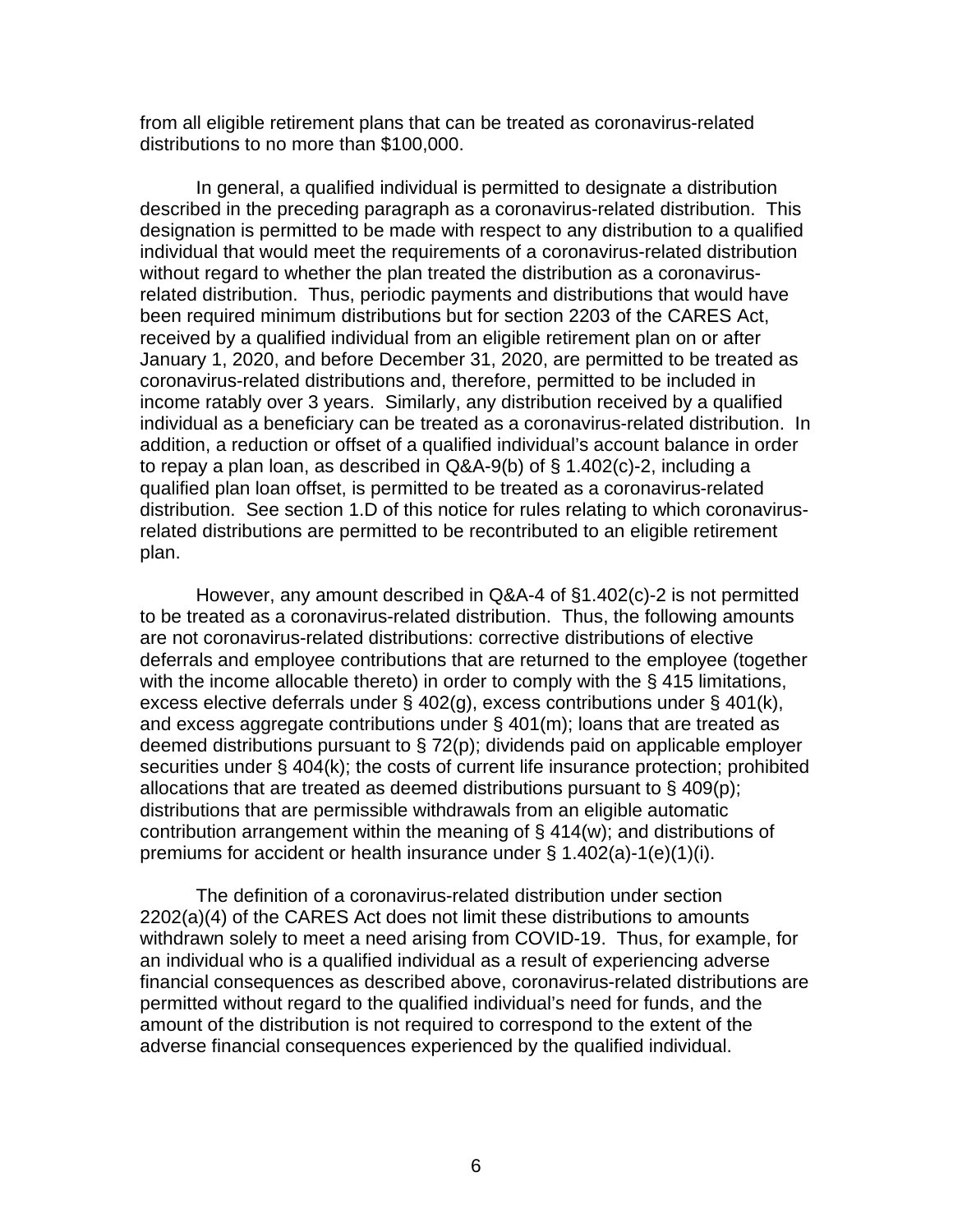from all eligible retirement plans that can be treated as coronavirus-related distributions to no more than \$100,000.

In general, a qualified individual is permitted to designate a distribution described in the preceding paragraph as a coronavirus-related distribution. This designation is permitted to be made with respect to any distribution to a qualified individual that would meet the requirements of a coronavirus-related distribution without regard to whether the plan treated the distribution as a coronavirusrelated distribution. Thus, periodic payments and distributions that would have been required minimum distributions but for section 2203 of the CARES Act, received by a qualified individual from an eligible retirement plan on or after January 1, 2020, and before December 31, 2020, are permitted to be treated as coronavirus-related distributions and, therefore, permitted to be included in income ratably over 3 years. Similarly, any distribution received by a qualified individual as a beneficiary can be treated as a coronavirus-related distribution. In addition, a reduction or offset of a qualified individual's account balance in order to repay a plan loan, as described in Q&A-9(b) of § 1.402(c)-2, including a qualified plan loan offset, is permitted to be treated as a coronavirus-related distribution. See section 1.D of this notice for rules relating to which coronavirusrelated distributions are permitted to be recontributed to an eligible retirement plan.

However, any amount described in Q&A-4 of §1.402(c)-2 is not permitted to be treated as a coronavirus-related distribution. Thus, the following amounts are not coronavirus-related distributions: corrective distributions of elective deferrals and employee contributions that are returned to the employee (together with the income allocable thereto) in order to comply with the § 415 limitations, excess elective deferrals under § 402(g), excess contributions under § 401(k), and excess aggregate contributions under § 401(m); loans that are treated as deemed distributions pursuant to § 72(p); dividends paid on applicable employer securities under § 404(k); the costs of current life insurance protection; prohibited allocations that are treated as deemed distributions pursuant to § 409(p); distributions that are permissible withdrawals from an eligible automatic contribution arrangement within the meaning of § 414(w); and distributions of premiums for accident or health insurance under § 1.402(a)-1(e)(1)(i).

The definition of a coronavirus-related distribution under section 2202(a)(4) of the CARES Act does not limit these distributions to amounts withdrawn solely to meet a need arising from COVID-19. Thus, for example, for an individual who is a qualified individual as a result of experiencing adverse financial consequences as described above, coronavirus-related distributions are permitted without regard to the qualified individual's need for funds, and the amount of the distribution is not required to correspond to the extent of the adverse financial consequences experienced by the qualified individual.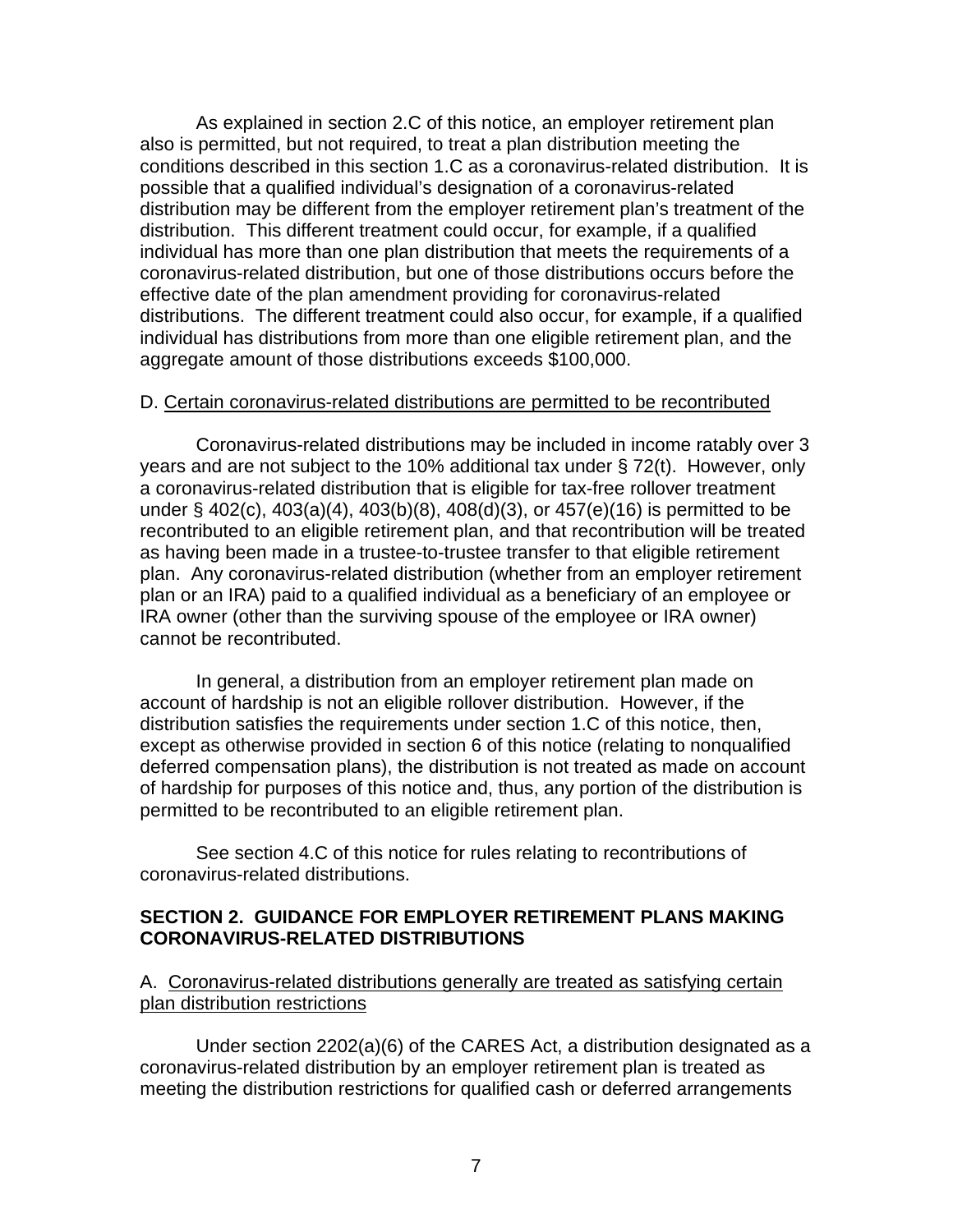As explained in section 2.C of this notice, an employer retirement plan also is permitted, but not required, to treat a plan distribution meeting the conditions described in this section 1.C as a coronavirus-related distribution. It is possible that a qualified individual's designation of a coronavirus-related distribution may be different from the employer retirement plan's treatment of the distribution. This different treatment could occur, for example, if a qualified individual has more than one plan distribution that meets the requirements of a coronavirus-related distribution, but one of those distributions occurs before the effective date of the plan amendment providing for coronavirus-related distributions. The different treatment could also occur, for example, if a qualified individual has distributions from more than one eligible retirement plan, and the aggregate amount of those distributions exceeds \$100,000.

#### D. Certain coronavirus-related distributions are permitted to be recontributed

Coronavirus-related distributions may be included in income ratably over 3 years and are not subject to the 10% additional tax under § 72(t). However, only a coronavirus-related distribution that is eligible for tax-free rollover treatment under § 402(c), 403(a)(4), 403(b)(8), 408(d)(3), or 457(e)(16) is permitted to be recontributed to an eligible retirement plan, and that recontribution will be treated as having been made in a trustee-to-trustee transfer to that eligible retirement plan. Any coronavirus-related distribution (whether from an employer retirement plan or an IRA) paid to a qualified individual as a beneficiary of an employee or IRA owner (other than the surviving spouse of the employee or IRA owner) cannot be recontributed.

In general, a distribution from an employer retirement plan made on account of hardship is not an eligible rollover distribution. However, if the distribution satisfies the requirements under section 1.C of this notice, then, except as otherwise provided in section 6 of this notice (relating to nonqualified deferred compensation plans), the distribution is not treated as made on account of hardship for purposes of this notice and, thus, any portion of the distribution is permitted to be recontributed to an eligible retirement plan.

See section 4.C of this notice for rules relating to recontributions of coronavirus-related distributions.

### **SECTION 2. GUIDANCE FOR EMPLOYER RETIREMENT PLANS MAKING CORONAVIRUS-RELATED DISTRIBUTIONS**

### A. Coronavirus-related distributions generally are treated as satisfying certain plan distribution restrictions

Under section 2202(a)(6) of the CARES Act, a distribution designated as a coronavirus-related distribution by an employer retirement plan is treated as meeting the distribution restrictions for qualified cash or deferred arrangements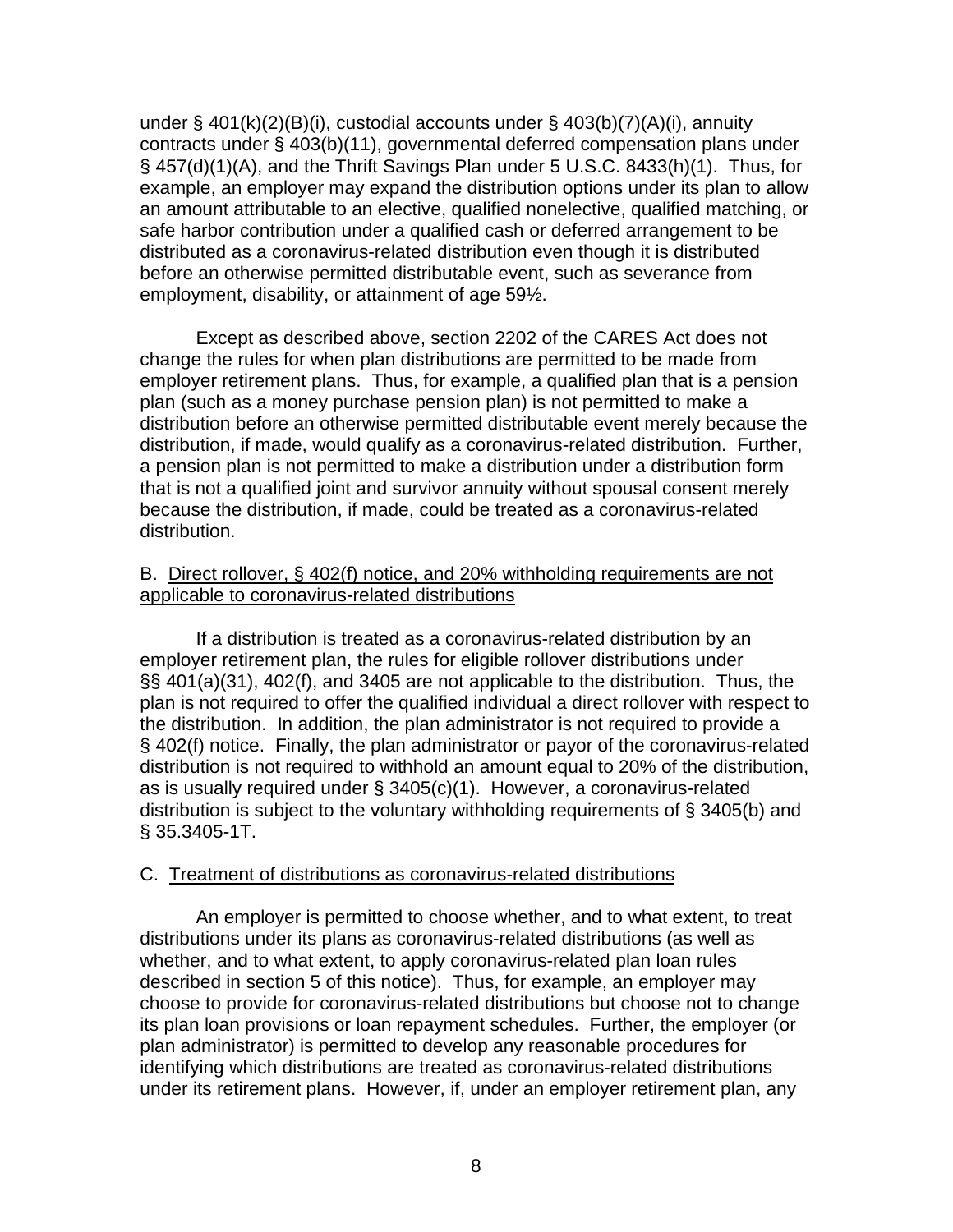under § 401(k)(2)(B)(i), custodial accounts under § 403(b)(7)(A)(i), annuity contracts under § 403(b)(11), governmental deferred compensation plans under § 457(d)(1)(A), and the Thrift Savings Plan under 5 U.S.C. 8433(h)(1). Thus, for example, an employer may expand the distribution options under its plan to allow an amount attributable to an elective, qualified nonelective, qualified matching, or safe harbor contribution under a qualified cash or deferred arrangement to be distributed as a coronavirus-related distribution even though it is distributed before an otherwise permitted distributable event, such as severance from employment, disability, or attainment of age 59½.

Except as described above, section 2202 of the CARES Act does not change the rules for when plan distributions are permitted to be made from employer retirement plans. Thus, for example, a qualified plan that is a pension plan (such as a money purchase pension plan) is not permitted to make a distribution before an otherwise permitted distributable event merely because the distribution, if made, would qualify as a coronavirus-related distribution. Further, a pension plan is not permitted to make a distribution under a distribution form that is not a qualified joint and survivor annuity without spousal consent merely because the distribution, if made, could be treated as a coronavirus-related distribution.

### B. Direct rollover, § 402(f) notice, and 20% withholding requirements are not applicable to coronavirus-related distributions

If a distribution is treated as a coronavirus-related distribution by an employer retirement plan, the rules for eligible rollover distributions under §§ 401(a)(31), 402(f), and 3405 are not applicable to the distribution. Thus, the plan is not required to offer the qualified individual a direct rollover with respect to the distribution. In addition, the plan administrator is not required to provide a § 402(f) notice. Finally, the plan administrator or payor of the coronavirus-related distribution is not required to withhold an amount equal to 20% of the distribution, as is usually required under § 3405(c)(1). However, a coronavirus-related distribution is subject to the voluntary withholding requirements of § 3405(b) and § 35.3405-1T.

#### C. Treatment of distributions as coronavirus-related distributions

An employer is permitted to choose whether, and to what extent, to treat distributions under its plans as coronavirus-related distributions (as well as whether, and to what extent, to apply coronavirus-related plan loan rules described in section 5 of this notice). Thus, for example, an employer may choose to provide for coronavirus-related distributions but choose not to change its plan loan provisions or loan repayment schedules. Further, the employer (or plan administrator) is permitted to develop any reasonable procedures for identifying which distributions are treated as coronavirus-related distributions under its retirement plans. However, if, under an employer retirement plan, any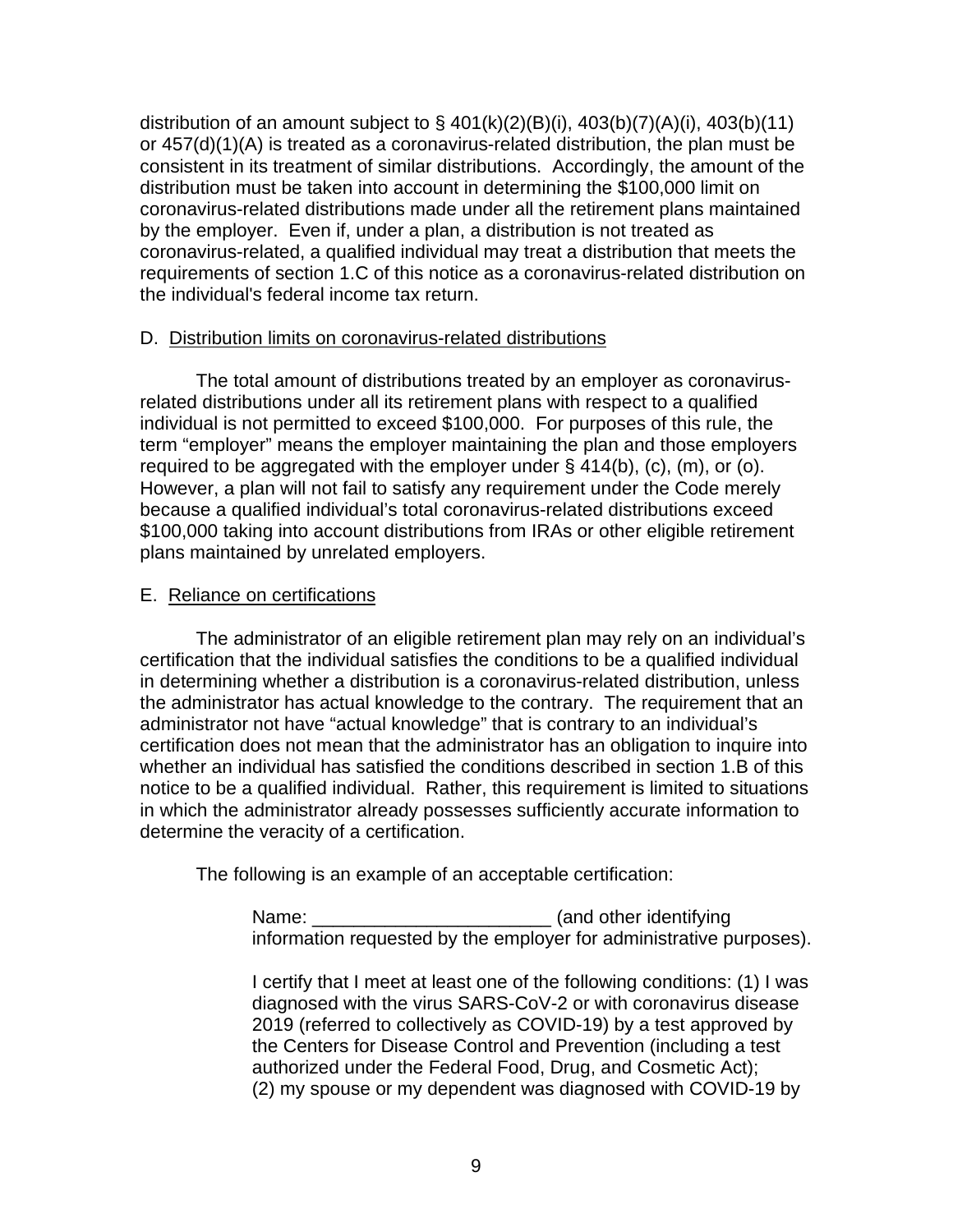distribution of an amount subject to  $\S$  401(k)(2)(B)(i), 403(b)(7)(A)(i), 403(b)(11) or 457(d)(1)(A) is treated as a coronavirus-related distribution, the plan must be consistent in its treatment of similar distributions. Accordingly, the amount of the distribution must be taken into account in determining the \$100,000 limit on coronavirus-related distributions made under all the retirement plans maintained by the employer. Even if, under a plan, a distribution is not treated as coronavirus-related, a qualified individual may treat a distribution that meets the requirements of section 1.C of this notice as a coronavirus-related distribution on the individual's federal income tax return.

# D. Distribution limits on coronavirus-related distributions

The total amount of distributions treated by an employer as coronavirusrelated distributions under all its retirement plans with respect to a qualified individual is not permitted to exceed \$100,000. For purposes of this rule, the term "employer" means the employer maintaining the plan and those employers required to be aggregated with the employer under  $\S$  414(b), (c), (m), or (o). However, a plan will not fail to satisfy any requirement under the Code merely because a qualified individual's total coronavirus-related distributions exceed \$100,000 taking into account distributions from IRAs or other eligible retirement plans maintained by unrelated employers.

### E. Reliance on certifications

The administrator of an eligible retirement plan may rely on an individual's certification that the individual satisfies the conditions to be a qualified individual in determining whether a distribution is a coronavirus-related distribution, unless the administrator has actual knowledge to the contrary. The requirement that an administrator not have "actual knowledge" that is contrary to an individual's certification does not mean that the administrator has an obligation to inquire into whether an individual has satisfied the conditions described in section 1.B of this notice to be a qualified individual. Rather, this requirement is limited to situations in which the administrator already possesses sufficiently accurate information to determine the veracity of a certification.

The following is an example of an acceptable certification:

Name: \_\_\_\_\_\_\_\_\_\_\_\_\_\_\_\_\_\_\_\_\_\_\_\_\_\_\_\_\_\_\_\_ (and other identifying information requested by the employer for administrative purposes).

I certify that I meet at least one of the following conditions: (1) I was diagnosed with the virus SARS-CoV-2 or with coronavirus disease 2019 (referred to collectively as COVID-19) by a test approved by the Centers for Disease Control and Prevention (including a test authorized under the Federal Food, Drug, and Cosmetic Act); (2) my spouse or my dependent was diagnosed with COVID-19 by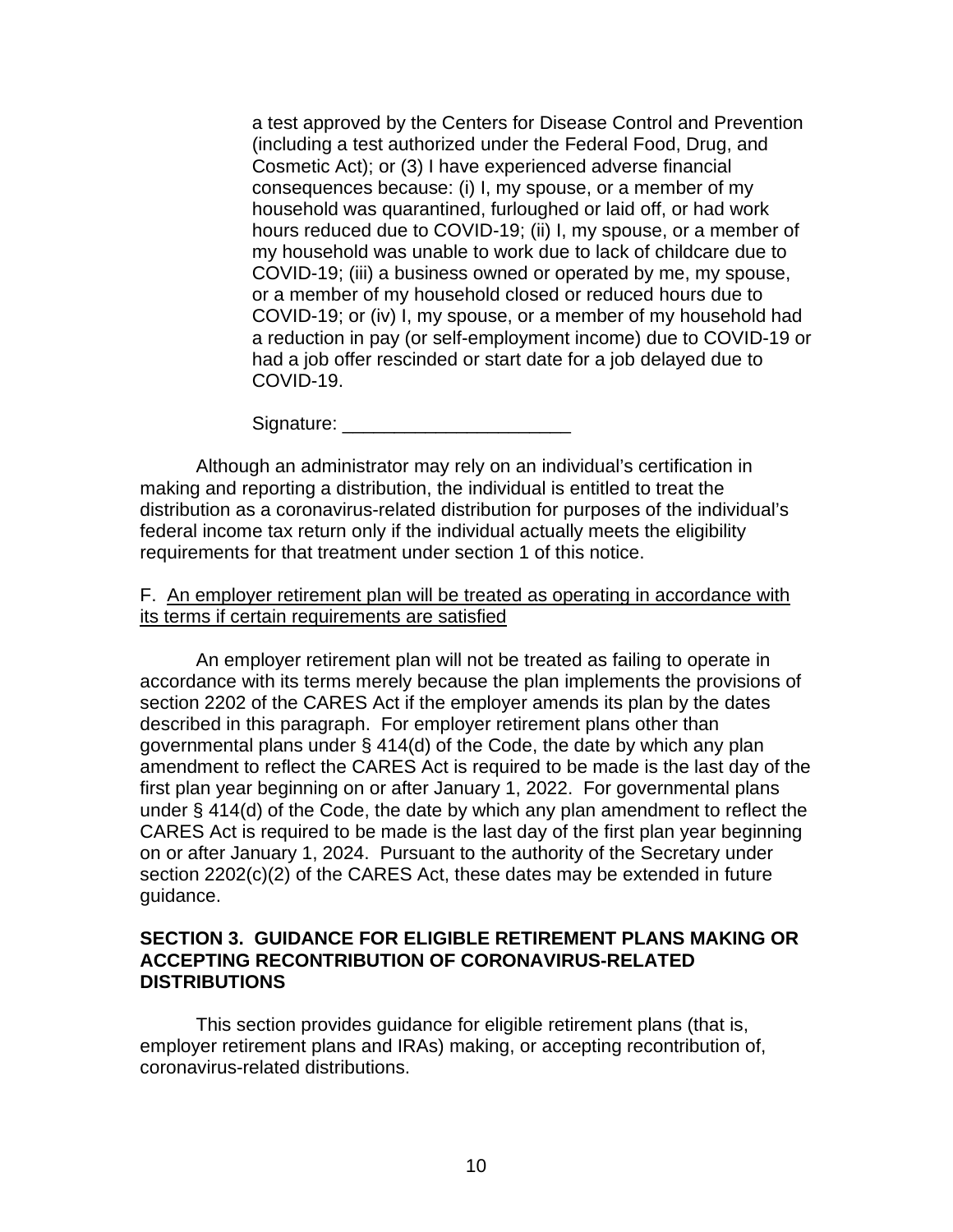a test approved by the Centers for Disease Control and Prevention (including a test authorized under the Federal Food, Drug, and Cosmetic Act); or (3) I have experienced adverse financial consequences because: (i) I, my spouse, or a member of my household was quarantined, furloughed or laid off, or had work hours reduced due to COVID-19; (ii) I, my spouse, or a member of my household was unable to work due to lack of childcare due to COVID-19; (iii) a business owned or operated by me, my spouse, or a member of my household closed or reduced hours due to COVID-19; or (iv) I, my spouse, or a member of my household had a reduction in pay (or self-employment income) due to COVID-19 or had a job offer rescinded or start date for a job delayed due to COVID-19.

Signature: \_\_\_\_\_\_\_\_\_\_\_\_\_\_\_\_\_\_\_\_\_\_

Although an administrator may rely on an individual's certification in making and reporting a distribution, the individual is entitled to treat the distribution as a coronavirus-related distribution for purposes of the individual's federal income tax return only if the individual actually meets the eligibility requirements for that treatment under section 1 of this notice.

### F. An employer retirement plan will be treated as operating in accordance with its terms if certain requirements are satisfied

An employer retirement plan will not be treated as failing to operate in accordance with its terms merely because the plan implements the provisions of section 2202 of the CARES Act if the employer amends its plan by the dates described in this paragraph. For employer retirement plans other than governmental plans under § 414(d) of the Code, the date by which any plan amendment to reflect the CARES Act is required to be made is the last day of the first plan year beginning on or after January 1, 2022. For governmental plans under § 414(d) of the Code, the date by which any plan amendment to reflect the CARES Act is required to be made is the last day of the first plan year beginning on or after January 1, 2024. Pursuant to the authority of the Secretary under section 2202(c)(2) of the CARES Act, these dates may be extended in future guidance.

# **SECTION 3. GUIDANCE FOR ELIGIBLE RETIREMENT PLANS MAKING OR ACCEPTING RECONTRIBUTION OF CORONAVIRUS-RELATED DISTRIBUTIONS**

This section provides guidance for eligible retirement plans (that is, employer retirement plans and IRAs) making, or accepting recontribution of, coronavirus-related distributions.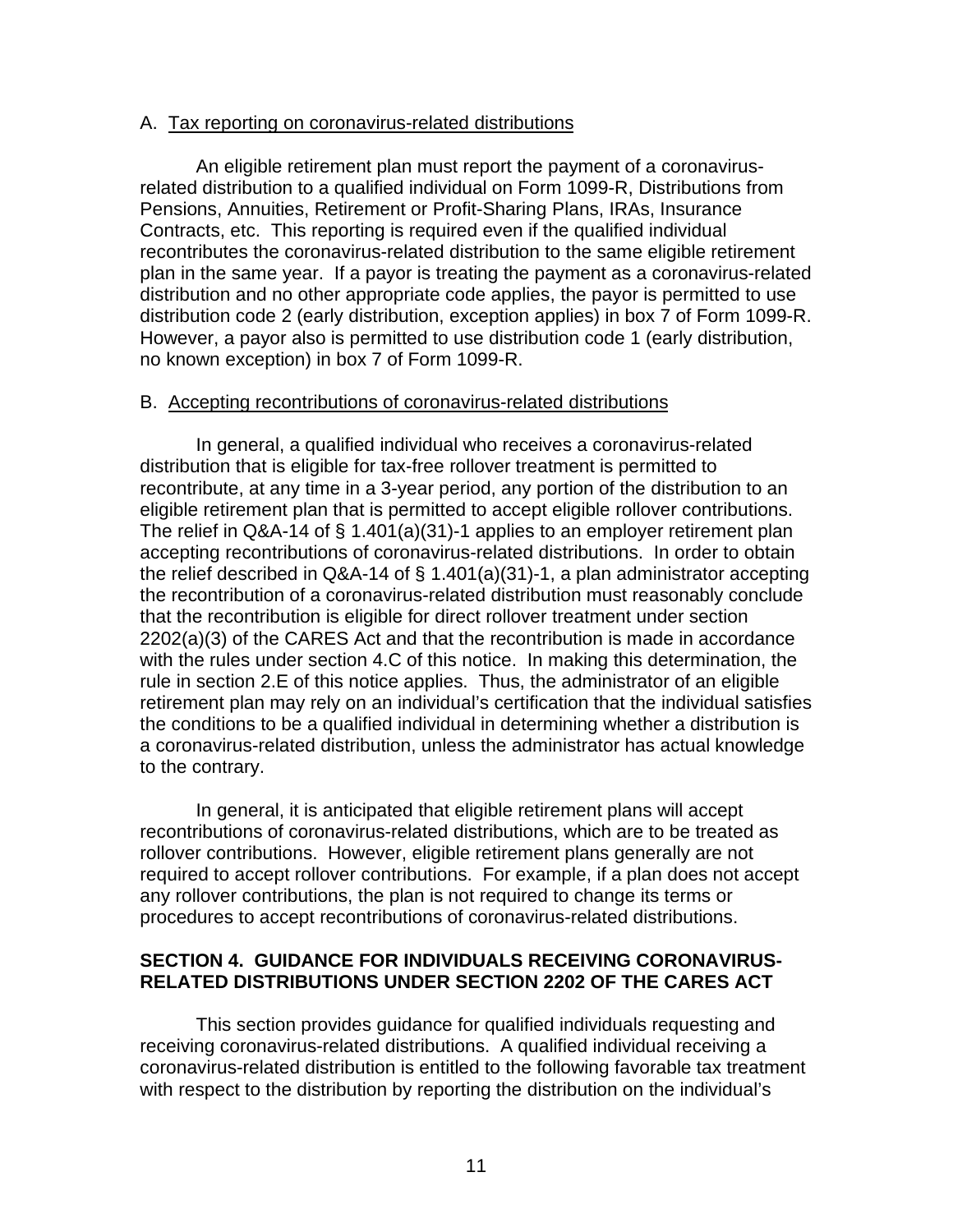#### A. Tax reporting on coronavirus-related distributions

An eligible retirement plan must report the payment of a coronavirusrelated distribution to a qualified individual on Form 1099-R, Distributions from Pensions, Annuities, Retirement or Profit-Sharing Plans, IRAs, Insurance Contracts, etc. This reporting is required even if the qualified individual recontributes the coronavirus-related distribution to the same eligible retirement plan in the same year. If a payor is treating the payment as a coronavirus-related distribution and no other appropriate code applies, the payor is permitted to use distribution code 2 (early distribution, exception applies) in box 7 of Form 1099-R. However, a payor also is permitted to use distribution code 1 (early distribution, no known exception) in box 7 of Form 1099-R.

#### B. Accepting recontributions of coronavirus-related distributions

In general, a qualified individual who receives a coronavirus-related distribution that is eligible for tax-free rollover treatment is permitted to recontribute, at any time in a 3-year period, any portion of the distribution to an eligible retirement plan that is permitted to accept eligible rollover contributions. The relief in Q&A-14 of § 1.401(a)(31)-1 applies to an employer retirement plan accepting recontributions of coronavirus-related distributions. In order to obtain the relief described in Q&A-14 of § 1.401(a)(31)-1, a plan administrator accepting the recontribution of a coronavirus-related distribution must reasonably conclude that the recontribution is eligible for direct rollover treatment under section 2202(a)(3) of the CARES Act and that the recontribution is made in accordance with the rules under section 4.C of this notice. In making this determination, the rule in section 2.E of this notice applies. Thus, the administrator of an eligible retirement plan may rely on an individual's certification that the individual satisfies the conditions to be a qualified individual in determining whether a distribution is a coronavirus-related distribution, unless the administrator has actual knowledge to the contrary.

In general, it is anticipated that eligible retirement plans will accept recontributions of coronavirus-related distributions, which are to be treated as rollover contributions. However, eligible retirement plans generally are not required to accept rollover contributions. For example, if a plan does not accept any rollover contributions, the plan is not required to change its terms or procedures to accept recontributions of coronavirus-related distributions.

# **SECTION 4. GUIDANCE FOR INDIVIDUALS RECEIVING CORONAVIRUS-RELATED DISTRIBUTIONS UNDER SECTION 2202 OF THE CARES ACT**

This section provides guidance for qualified individuals requesting and receiving coronavirus-related distributions. A qualified individual receiving a coronavirus-related distribution is entitled to the following favorable tax treatment with respect to the distribution by reporting the distribution on the individual's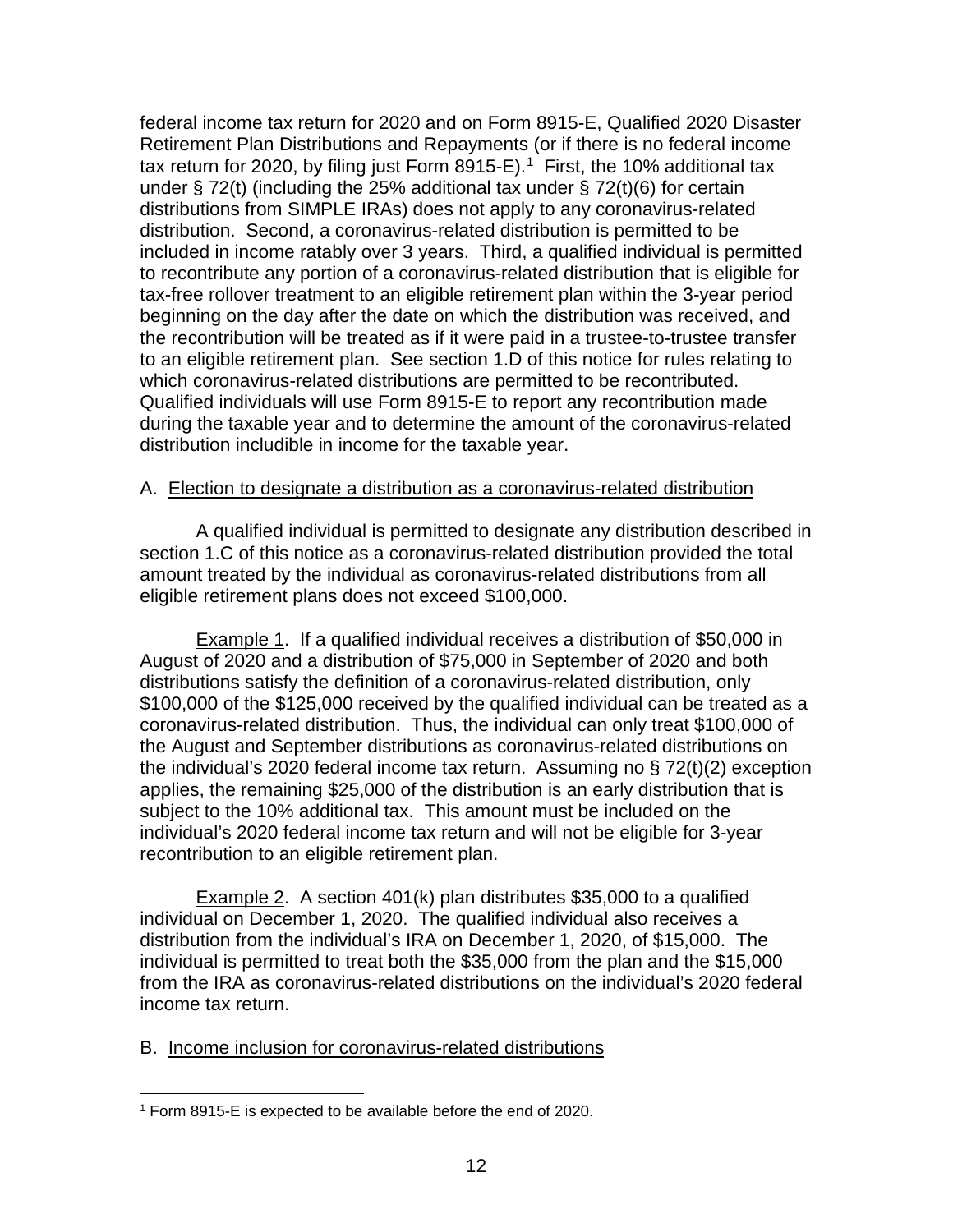federal income tax return for 2020 and on Form 8915-E, Qualified 2020 Disaster Retirement Plan Distributions and Repayments (or if there is no federal income tax return for 2020, by filing just Form 8915-E).<sup>1</sup> First, the 10% additional tax under § 72(t) (including the 25% additional tax under § 72(t)(6) for certain distributions from SIMPLE IRAs) does not apply to any coronavirus-related distribution. Second, a coronavirus-related distribution is permitted to be included in income ratably over 3 years. Third, a qualified individual is permitted to recontribute any portion of a coronavirus-related distribution that is eligible for tax-free rollover treatment to an eligible retirement plan within the 3-year period beginning on the day after the date on which the distribution was received, and the recontribution will be treated as if it were paid in a trustee-to-trustee transfer to an eligible retirement plan. See section 1.D of this notice for rules relating to which coronavirus-related distributions are permitted to be recontributed. Qualified individuals will use Form 8915-E to report any recontribution made during the taxable year and to determine the amount of the coronavirus-related distribution includible in income for the taxable year.

### A. Election to designate a distribution as a coronavirus-related distribution

A qualified individual is permitted to designate any distribution described in section 1.C of this notice as a coronavirus-related distribution provided the total amount treated by the individual as coronavirus-related distributions from all eligible retirement plans does not exceed \$100,000.

Example 1. If a qualified individual receives a distribution of \$50,000 in August of 2020 and a distribution of \$75,000 in September of 2020 and both distributions satisfy the definition of a coronavirus-related distribution, only \$100,000 of the \$125,000 received by the qualified individual can be treated as a coronavirus-related distribution. Thus, the individual can only treat \$100,000 of the August and September distributions as coronavirus-related distributions on the individual's 2020 federal income tax return. Assuming no § 72(t)(2) exception applies, the remaining \$25,000 of the distribution is an early distribution that is subject to the 10% additional tax. This amount must be included on the individual's 2020 federal income tax return and will not be eligible for 3-year recontribution to an eligible retirement plan.

Example 2. A section 401(k) plan distributes \$35,000 to a qualified individual on December 1, 2020. The qualified individual also receives a distribution from the individual's IRA on December 1, 2020, of \$15,000. The individual is permitted to treat both the \$35,000 from the plan and the \$15,000 from the IRA as coronavirus-related distributions on the individual's 2020 federal income tax return.

# B. Income inclusion for coronavirus-related distributions

<span id="page-11-0"></span><sup>1</sup> Form 8915-E is expected to be available before the end of 2020.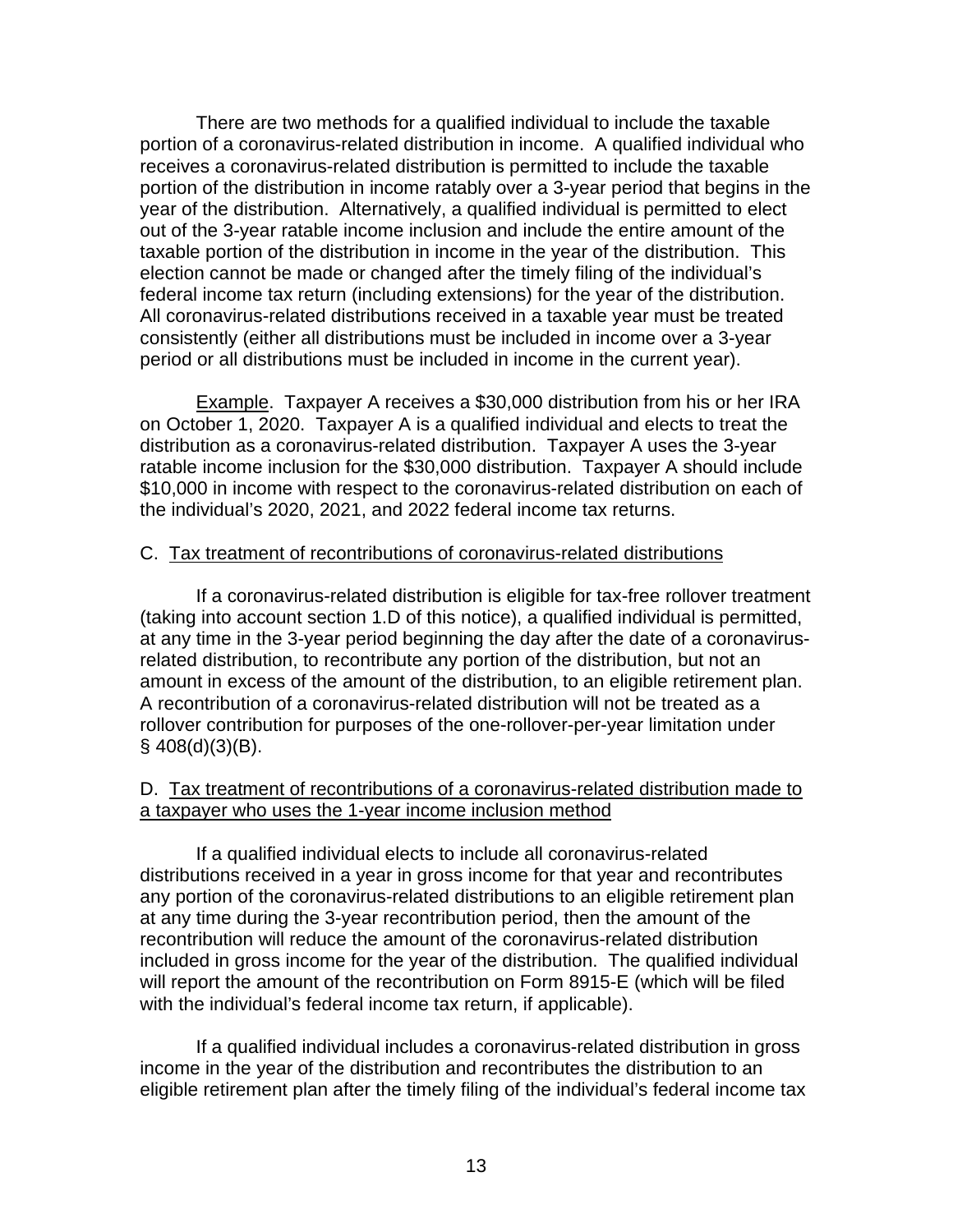There are two methods for a qualified individual to include the taxable portion of a coronavirus-related distribution in income. A qualified individual who receives a coronavirus-related distribution is permitted to include the taxable portion of the distribution in income ratably over a 3-year period that begins in the year of the distribution. Alternatively, a qualified individual is permitted to elect out of the 3-year ratable income inclusion and include the entire amount of the taxable portion of the distribution in income in the year of the distribution. This election cannot be made or changed after the timely filing of the individual's federal income tax return (including extensions) for the year of the distribution. All coronavirus-related distributions received in a taxable year must be treated consistently (either all distributions must be included in income over a 3-year period or all distributions must be included in income in the current year).

Example. Taxpayer A receives a \$30,000 distribution from his or her IRA on October 1, 2020. Taxpayer A is a qualified individual and elects to treat the distribution as a coronavirus-related distribution. Taxpayer A uses the 3-year ratable income inclusion for the \$30,000 distribution. Taxpayer A should include \$10,000 in income with respect to the coronavirus-related distribution on each of the individual's 2020, 2021, and 2022 federal income tax returns.

### C. Tax treatment of recontributions of coronavirus-related distributions

If a coronavirus-related distribution is eligible for tax-free rollover treatment (taking into account section 1.D of this notice), a qualified individual is permitted, at any time in the 3-year period beginning the day after the date of a coronavirusrelated distribution, to recontribute any portion of the distribution, but not an amount in excess of the amount of the distribution, to an eligible retirement plan. A recontribution of a coronavirus-related distribution will not be treated as a rollover contribution for purposes of the one-rollover-per-year limitation under  $§$  408(d)(3)(B).

### D. Tax treatment of recontributions of a coronavirus-related distribution made to a taxpayer who uses the 1-year income inclusion method

If a qualified individual elects to include all coronavirus-related distributions received in a year in gross income for that year and recontributes any portion of the coronavirus-related distributions to an eligible retirement plan at any time during the 3-year recontribution period, then the amount of the recontribution will reduce the amount of the coronavirus-related distribution included in gross income for the year of the distribution. The qualified individual will report the amount of the recontribution on Form 8915-E (which will be filed with the individual's federal income tax return, if applicable).

If a qualified individual includes a coronavirus-related distribution in gross income in the year of the distribution and recontributes the distribution to an eligible retirement plan after the timely filing of the individual's federal income tax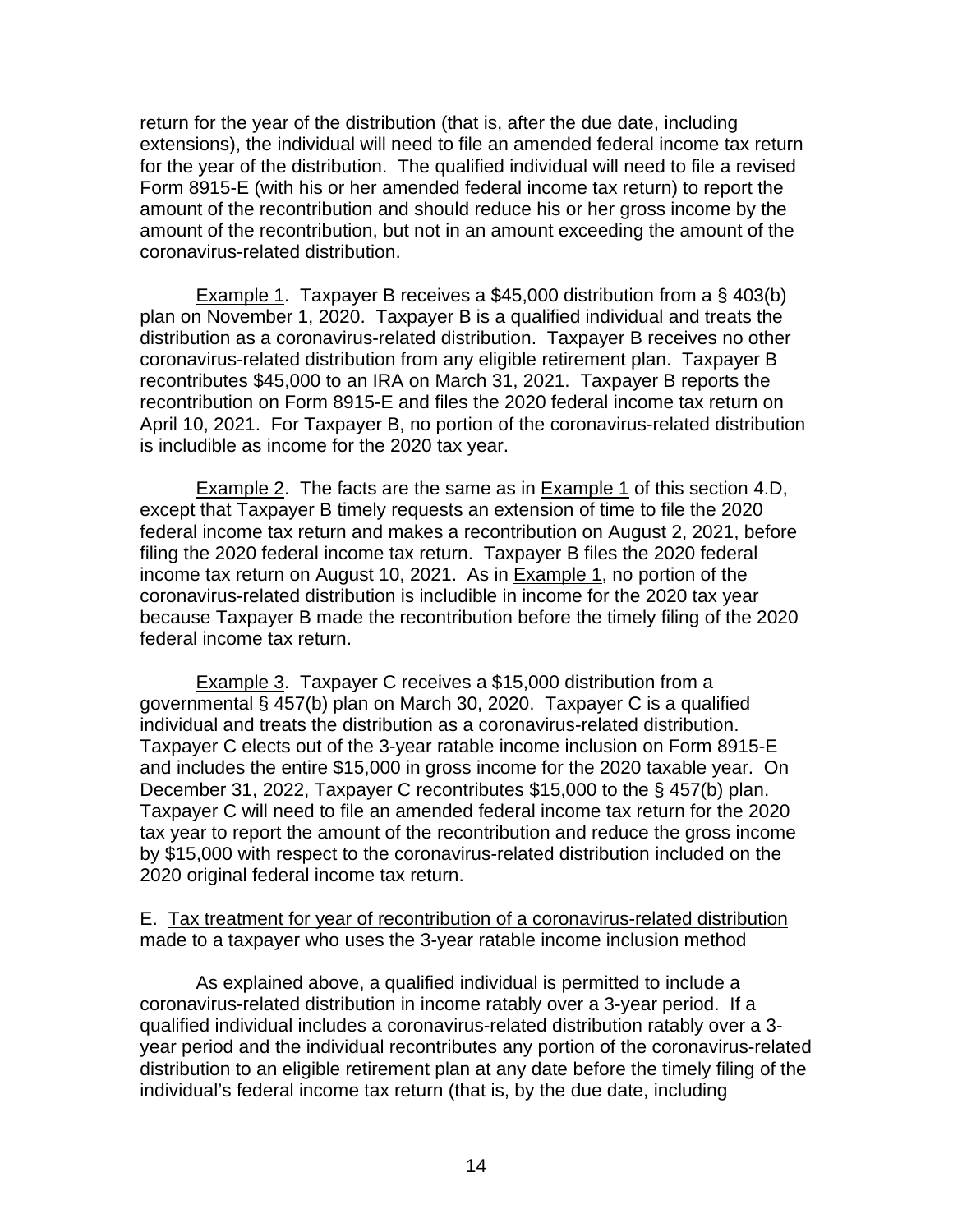return for the year of the distribution (that is, after the due date, including extensions), the individual will need to file an amended federal income tax return for the year of the distribution. The qualified individual will need to file a revised Form 8915-E (with his or her amended federal income tax return) to report the amount of the recontribution and should reduce his or her gross income by the amount of the recontribution, but not in an amount exceeding the amount of the coronavirus-related distribution.

Example 1. Taxpayer B receives a \$45,000 distribution from a § 403(b) plan on November 1, 2020. Taxpayer B is a qualified individual and treats the distribution as a coronavirus-related distribution. Taxpayer B receives no other coronavirus-related distribution from any eligible retirement plan. Taxpayer B recontributes \$45,000 to an IRA on March 31, 2021. Taxpayer B reports the recontribution on Form 8915-E and files the 2020 federal income tax return on April 10, 2021. For Taxpayer B, no portion of the coronavirus-related distribution is includible as income for the 2020 tax year.

Example 2. The facts are the same as in Example 1 of this section 4.D, except that Taxpayer B timely requests an extension of time to file the 2020 federal income tax return and makes a recontribution on August 2, 2021, before filing the 2020 federal income tax return. Taxpayer B files the 2020 federal income tax return on August 10, 2021. As in Example 1, no portion of the coronavirus-related distribution is includible in income for the 2020 tax year because Taxpayer B made the recontribution before the timely filing of the 2020 federal income tax return.

Example 3. Taxpayer C receives a \$15,000 distribution from a governmental § 457(b) plan on March 30, 2020. Taxpayer C is a qualified individual and treats the distribution as a coronavirus-related distribution. Taxpayer C elects out of the 3-year ratable income inclusion on Form 8915-E and includes the entire \$15,000 in gross income for the 2020 taxable year. On December 31, 2022, Taxpayer C recontributes \$15,000 to the § 457(b) plan. Taxpayer C will need to file an amended federal income tax return for the 2020 tax year to report the amount of the recontribution and reduce the gross income by \$15,000 with respect to the coronavirus-related distribution included on the 2020 original federal income tax return.

### E. Tax treatment for year of recontribution of a coronavirus-related distribution made to a taxpayer who uses the 3-year ratable income inclusion method

As explained above, a qualified individual is permitted to include a coronavirus-related distribution in income ratably over a 3-year period. If a qualified individual includes a coronavirus-related distribution ratably over a 3 year period and the individual recontributes any portion of the coronavirus-related distribution to an eligible retirement plan at any date before the timely filing of the individual's federal income tax return (that is, by the due date, including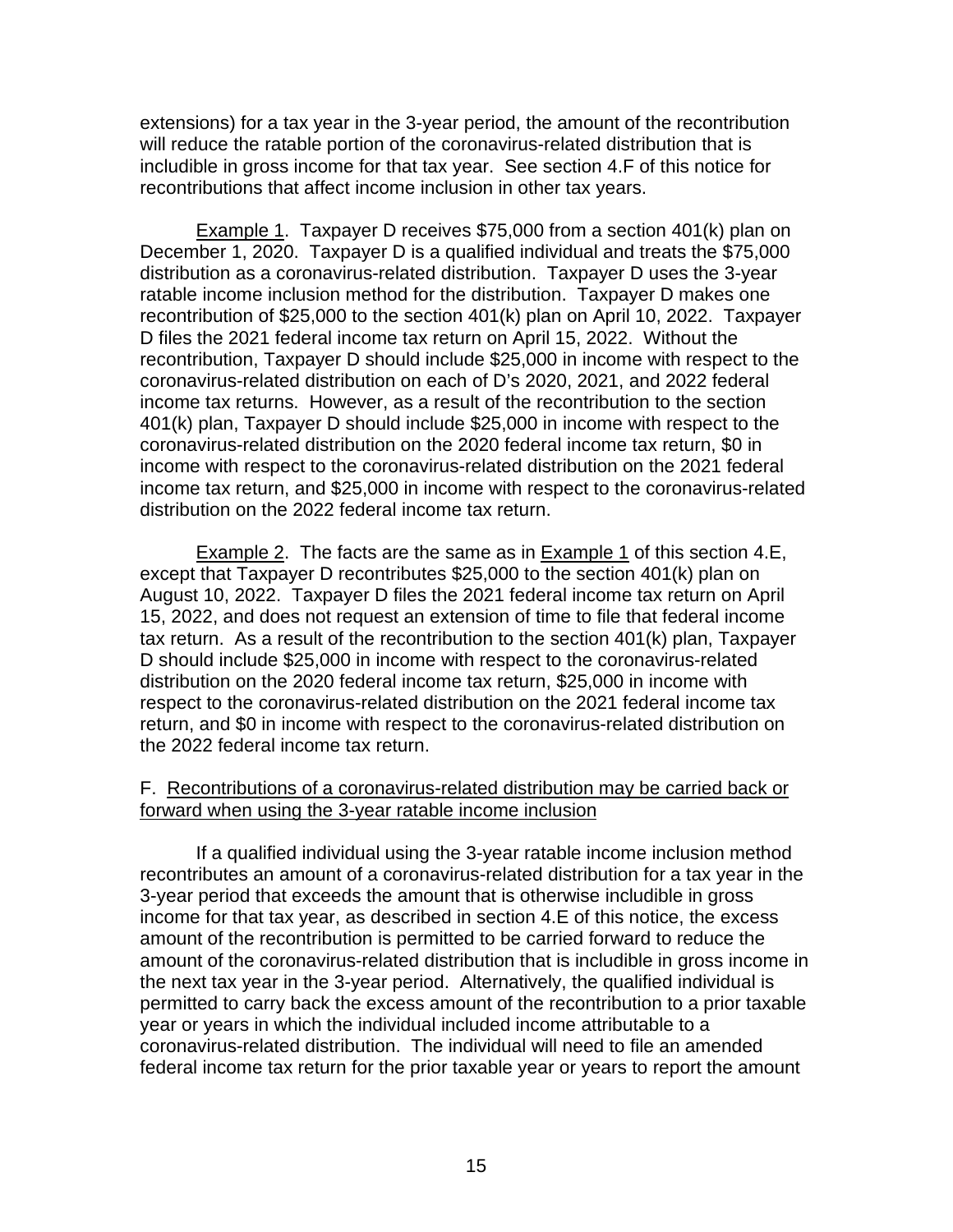extensions) for a tax year in the 3-year period, the amount of the recontribution will reduce the ratable portion of the coronavirus-related distribution that is includible in gross income for that tax year. See section 4.F of this notice for recontributions that affect income inclusion in other tax years.

Example 1. Taxpayer D receives \$75,000 from a section 401(k) plan on December 1, 2020. Taxpayer D is a qualified individual and treats the \$75,000 distribution as a coronavirus-related distribution. Taxpayer D uses the 3-year ratable income inclusion method for the distribution. Taxpayer D makes one recontribution of \$25,000 to the section 401(k) plan on April 10, 2022. Taxpayer D files the 2021 federal income tax return on April 15, 2022. Without the recontribution, Taxpayer D should include \$25,000 in income with respect to the coronavirus-related distribution on each of D's 2020, 2021, and 2022 federal income tax returns. However, as a result of the recontribution to the section 401(k) plan, Taxpayer D should include \$25,000 in income with respect to the coronavirus-related distribution on the 2020 federal income tax return, \$0 in income with respect to the coronavirus-related distribution on the 2021 federal income tax return, and \$25,000 in income with respect to the coronavirus-related distribution on the 2022 federal income tax return.

Example 2. The facts are the same as in Example 1 of this section 4.E, except that Taxpayer D recontributes \$25,000 to the section 401(k) plan on August 10, 2022. Taxpayer D files the 2021 federal income tax return on April 15, 2022, and does not request an extension of time to file that federal income tax return. As a result of the recontribution to the section 401(k) plan, Taxpayer D should include \$25,000 in income with respect to the coronavirus-related distribution on the 2020 federal income tax return, \$25,000 in income with respect to the coronavirus-related distribution on the 2021 federal income tax return, and \$0 in income with respect to the coronavirus-related distribution on the 2022 federal income tax return.

# F. Recontributions of a coronavirus-related distribution may be carried back or forward when using the 3-year ratable income inclusion

If a qualified individual using the 3-year ratable income inclusion method recontributes an amount of a coronavirus-related distribution for a tax year in the 3-year period that exceeds the amount that is otherwise includible in gross income for that tax year, as described in section 4.E of this notice, the excess amount of the recontribution is permitted to be carried forward to reduce the amount of the coronavirus-related distribution that is includible in gross income in the next tax year in the 3-year period. Alternatively, the qualified individual is permitted to carry back the excess amount of the recontribution to a prior taxable year or years in which the individual included income attributable to a coronavirus-related distribution. The individual will need to file an amended federal income tax return for the prior taxable year or years to report the amount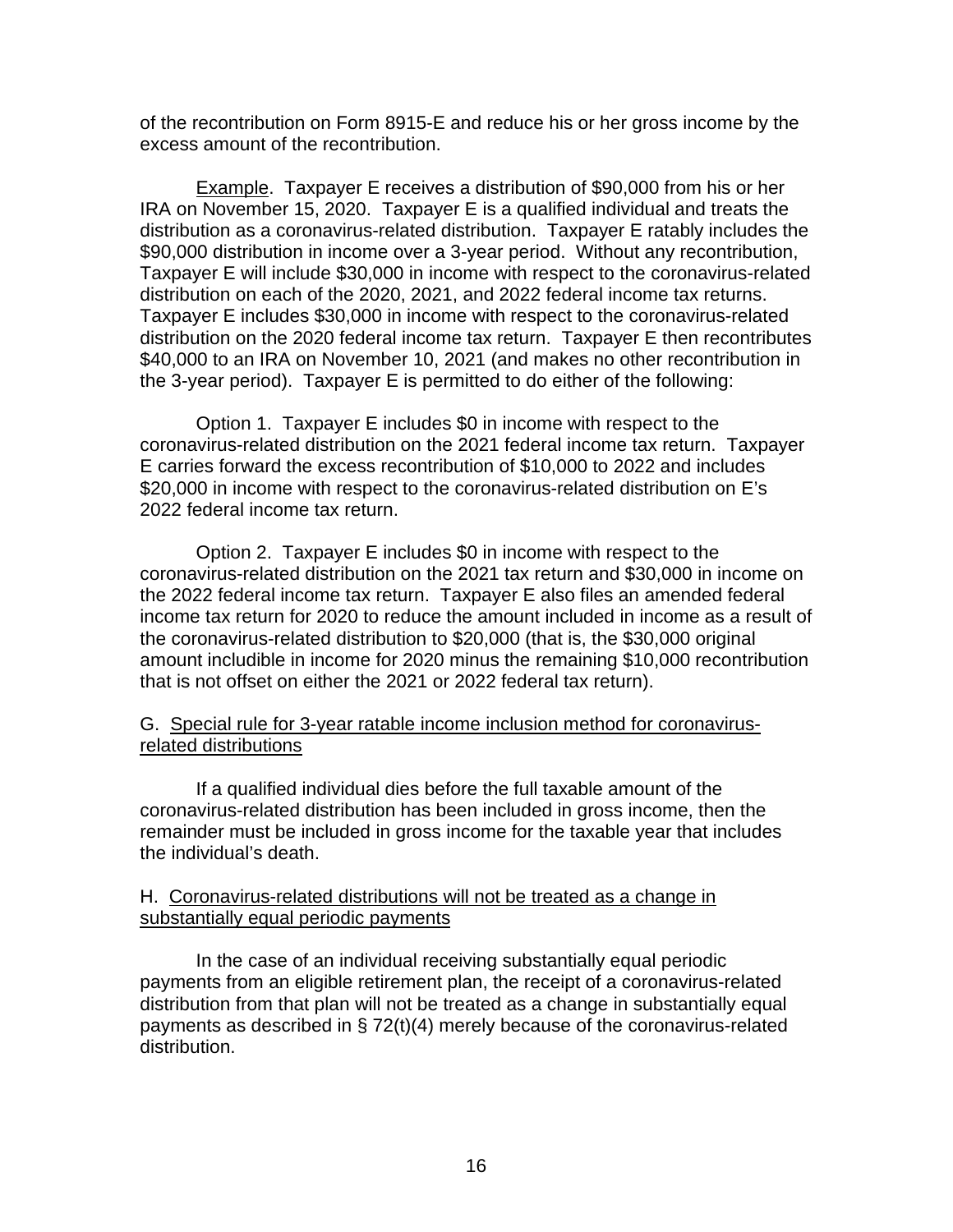of the recontribution on Form 8915-E and reduce his or her gross income by the excess amount of the recontribution.

Example. Taxpayer E receives a distribution of \$90,000 from his or her IRA on November 15, 2020. Taxpayer E is a qualified individual and treats the distribution as a coronavirus-related distribution. Taxpayer E ratably includes the \$90,000 distribution in income over a 3-year period. Without any recontribution, Taxpayer E will include \$30,000 in income with respect to the coronavirus-related distribution on each of the 2020, 2021, and 2022 federal income tax returns. Taxpayer E includes \$30,000 in income with respect to the coronavirus-related distribution on the 2020 federal income tax return. Taxpayer E then recontributes \$40,000 to an IRA on November 10, 2021 (and makes no other recontribution in the 3-year period). Taxpayer E is permitted to do either of the following:

Option 1. Taxpayer E includes \$0 in income with respect to the coronavirus-related distribution on the 2021 federal income tax return. Taxpayer E carries forward the excess recontribution of \$10,000 to 2022 and includes \$20,000 in income with respect to the coronavirus-related distribution on E's 2022 federal income tax return.

Option 2. Taxpayer E includes \$0 in income with respect to the coronavirus-related distribution on the 2021 tax return and \$30,000 in income on the 2022 federal income tax return. Taxpayer E also files an amended federal income tax return for 2020 to reduce the amount included in income as a result of the coronavirus-related distribution to \$20,000 (that is, the \$30,000 original amount includible in income for 2020 minus the remaining \$10,000 recontribution that is not offset on either the 2021 or 2022 federal tax return).

# G. Special rule for 3-year ratable income inclusion method for coronavirusrelated distributions

If a qualified individual dies before the full taxable amount of the coronavirus-related distribution has been included in gross income, then the remainder must be included in gross income for the taxable year that includes the individual's death.

# H. Coronavirus-related distributions will not be treated as a change in substantially equal periodic payments

In the case of an individual receiving substantially equal periodic payments from an eligible retirement plan, the receipt of a coronavirus-related distribution from that plan will not be treated as a change in substantially equal payments as described in § 72(t)(4) merely because of the coronavirus-related distribution.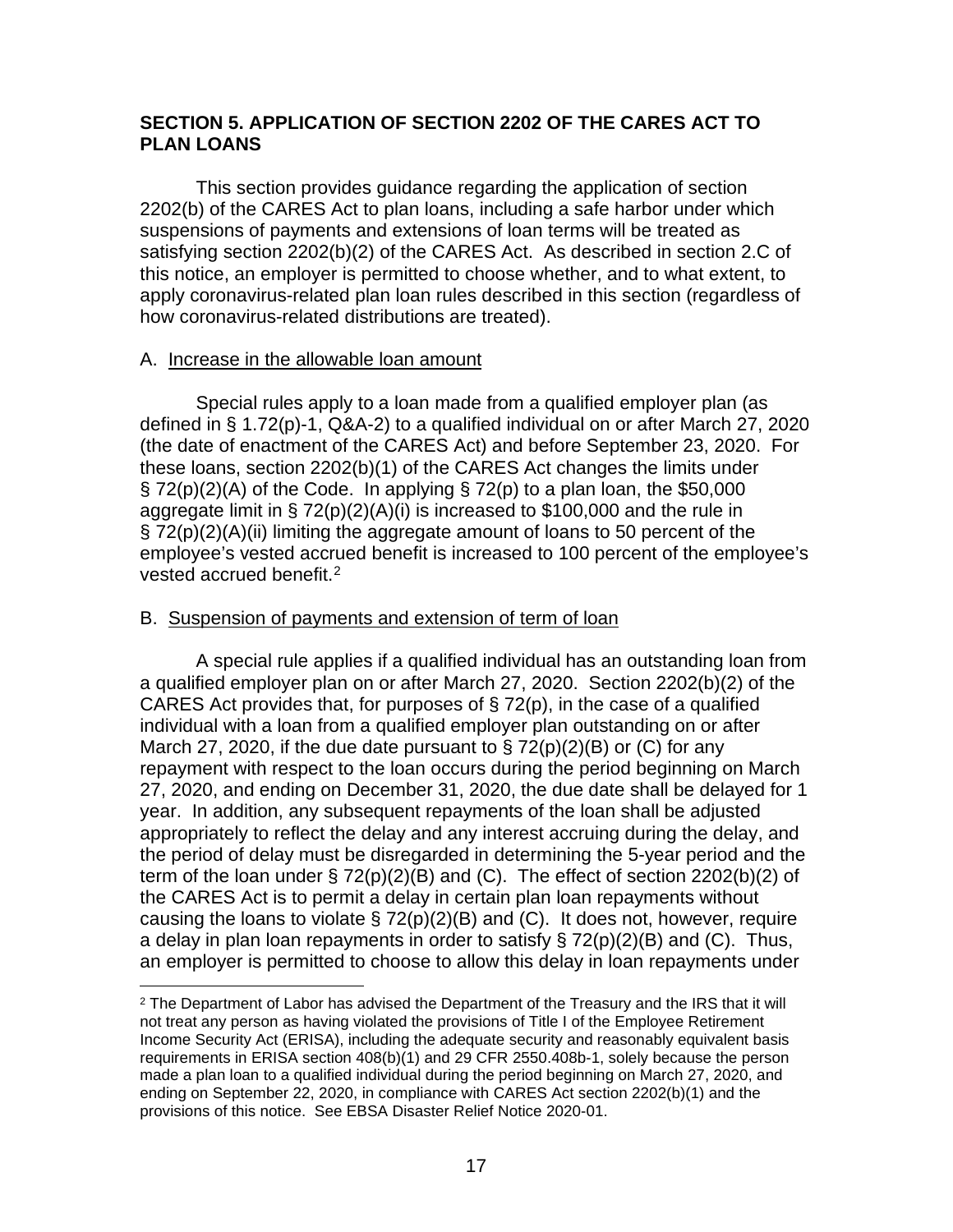# **SECTION 5. APPLICATION OF SECTION 2202 OF THE CARES ACT TO PLAN LOANS**

This section provides guidance regarding the application of section 2202(b) of the CARES Act to plan loans, including a safe harbor under which suspensions of payments and extensions of loan terms will be treated as satisfying section 2202(b)(2) of the CARES Act. As described in section 2.C of this notice, an employer is permitted to choose whether, and to what extent, to apply coronavirus-related plan loan rules described in this section (regardless of how coronavirus-related distributions are treated).

#### A. Increase in the allowable loan amount

Special rules apply to a loan made from a qualified employer plan (as defined in § 1.72(p)-1, Q&A-2) to a qualified individual on or after March 27, 2020 (the date of enactment of the CARES Act) and before September 23, 2020. For these loans, section 2202(b)(1) of the CARES Act changes the limits under  $\S$  72(p)(2)(A) of the Code. In applying  $\S$  72(p) to a plan loan, the \$50,000 aggregate limit in § 72(p)(2)(A)(i) is increased to \$100,000 and the rule in § 72(p)(2)(A)(ii) limiting the aggregate amount of loans to 50 percent of the employee's vested accrued benefit is increased to 100 percent of the employee's vested accrued benefit.[2](#page-16-0)

### B. Suspension of payments and extension of term of loan

A special rule applies if a qualified individual has an outstanding loan from a qualified employer plan on or after March 27, 2020. Section 2202(b)(2) of the CARES Act provides that, for purposes of § 72(p), in the case of a qualified individual with a loan from a qualified employer plan outstanding on or after March 27, 2020, if the due date pursuant to  $\S 72(p)(2)(B)$  or (C) for any repayment with respect to the loan occurs during the period beginning on March 27, 2020, and ending on December 31, 2020, the due date shall be delayed for 1 year. In addition, any subsequent repayments of the loan shall be adjusted appropriately to reflect the delay and any interest accruing during the delay, and the period of delay must be disregarded in determining the 5-year period and the term of the loan under § 72(p)(2)(B) and (C). The effect of section 2202(b)(2) of the CARES Act is to permit a delay in certain plan loan repayments without causing the loans to violate  $\S 72(p)(2)(B)$  and (C). It does not, however, require a delay in plan loan repayments in order to satisfy  $\S 72(p)(2)(B)$  and (C). Thus, an employer is permitted to choose to allow this delay in loan repayments under

<span id="page-16-0"></span> $2$  The Department of Labor has advised the Department of the Treasury and the IRS that it will not treat any person as having violated the provisions of Title I of the Employee Retirement Income Security Act (ERISA), including the adequate security and reasonably equivalent basis requirements in ERISA section 408(b)(1) and 29 CFR 2550.408b-1, solely because the person made a plan loan to a qualified individual during the period beginning on March 27, 2020, and ending on September 22, 2020, in compliance with CARES Act section 2202(b)(1) and the provisions of this notice. See EBSA Disaster Relief Notice 2020-01.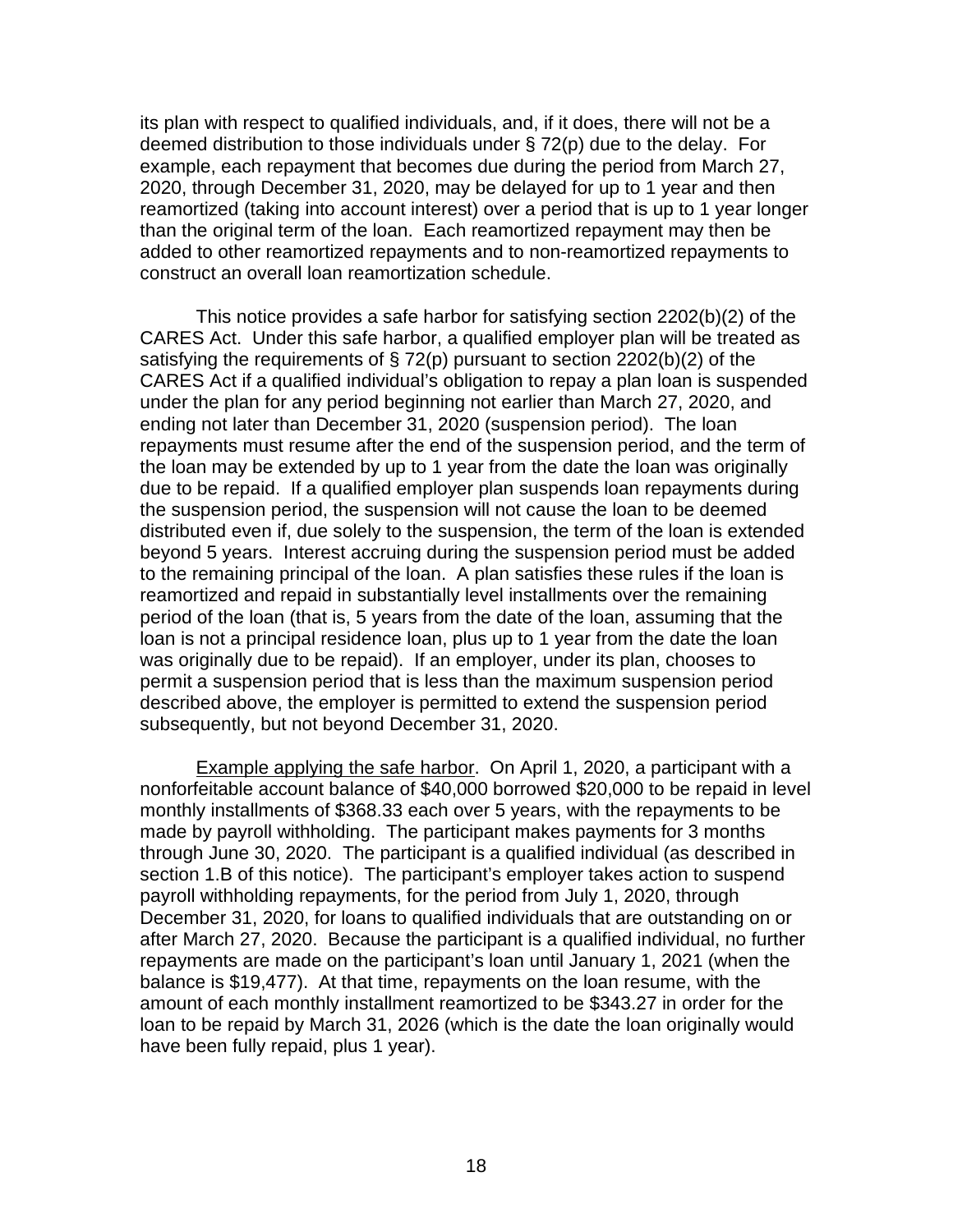its plan with respect to qualified individuals, and, if it does, there will not be a deemed distribution to those individuals under § 72(p) due to the delay. For example, each repayment that becomes due during the period from March 27, 2020, through December 31, 2020, may be delayed for up to 1 year and then reamortized (taking into account interest) over a period that is up to 1 year longer than the original term of the loan. Each reamortized repayment may then be added to other reamortized repayments and to non-reamortized repayments to construct an overall loan reamortization schedule.

This notice provides a safe harbor for satisfying section 2202(b)(2) of the CARES Act. Under this safe harbor, a qualified employer plan will be treated as satisfying the requirements of § 72(p) pursuant to section 2202(b)(2) of the CARES Act if a qualified individual's obligation to repay a plan loan is suspended under the plan for any period beginning not earlier than March 27, 2020, and ending not later than December 31, 2020 (suspension period). The loan repayments must resume after the end of the suspension period, and the term of the loan may be extended by up to 1 year from the date the loan was originally due to be repaid. If a qualified employer plan suspends loan repayments during the suspension period, the suspension will not cause the loan to be deemed distributed even if, due solely to the suspension, the term of the loan is extended beyond 5 years. Interest accruing during the suspension period must be added to the remaining principal of the loan. A plan satisfies these rules if the loan is reamortized and repaid in substantially level installments over the remaining period of the loan (that is, 5 years from the date of the loan, assuming that the loan is not a principal residence loan, plus up to 1 year from the date the loan was originally due to be repaid). If an employer, under its plan, chooses to permit a suspension period that is less than the maximum suspension period described above, the employer is permitted to extend the suspension period subsequently, but not beyond December 31, 2020.

Example applying the safe harbor. On April 1, 2020, a participant with a nonforfeitable account balance of \$40,000 borrowed \$20,000 to be repaid in level monthly installments of \$368.33 each over 5 years, with the repayments to be made by payroll withholding. The participant makes payments for 3 months through June 30, 2020. The participant is a qualified individual (as described in section 1.B of this notice). The participant's employer takes action to suspend payroll withholding repayments, for the period from July 1, 2020, through December 31, 2020, for loans to qualified individuals that are outstanding on or after March 27, 2020. Because the participant is a qualified individual, no further repayments are made on the participant's loan until January 1, 2021 (when the balance is \$19,477). At that time, repayments on the loan resume, with the amount of each monthly installment reamortized to be \$343.27 in order for the loan to be repaid by March 31, 2026 (which is the date the loan originally would have been fully repaid, plus 1 year).